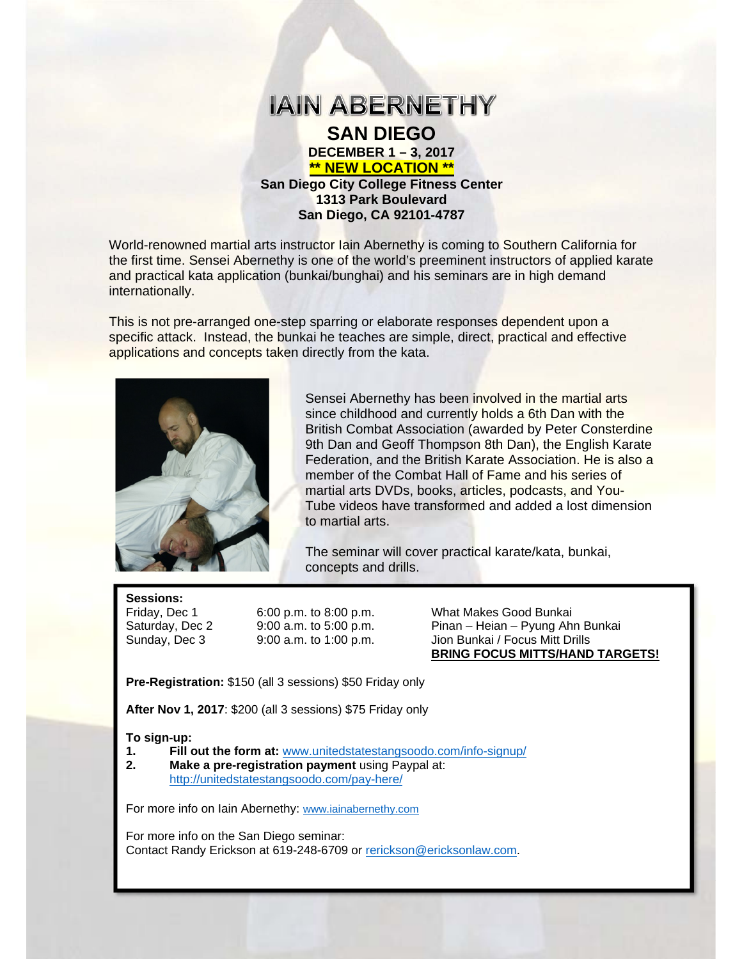

**\*\* NEW LOCATION \*\* San Diego City College Fitness Center 1313 Park Boulevard San Diego, CA 92101-4787** 

World-renowned martial arts instructor Iain Abernethy is coming to Southern California for the first time. Sensei Abernethy is one of the world's preeminent instructors of applied karate and practical kata application (bunkai/bunghai) and his seminars are in high demand internationally.

This is not pre-arranged one-step sparring or elaborate responses dependent upon a specific attack. Instead, the bunkai he teaches are simple, direct, practical and effective applications and concepts taken directly from the kata.



Sensei Abernethy has been involved in the martial arts since childhood and currently holds a 6th Dan with the British Combat Association (awarded by Peter Consterdine 9th Dan and Geoff Thompson 8th Dan), the English Karate Federation, and the British Karate Association. He is also a member of the Combat Hall of Fame and his series of martial arts DVDs, books, articles, podcasts, and You-Tube videos have transformed and added a lost dimension to martial arts.

The seminar will cover practical karate/kata, bunkai, concepts and drills.

Sessions:<br>Friday, Dec 1

6:00 p.m. to 8:00 p.m. What Makes Good Bunkai Saturday, Dec 2 9:00 a.m. to 5:00 p.m. Pinan – Heian – Pyung Ahn Bunkai Sunday, Dec 3 9:00 a.m. to 1:00 p.m. Jion Bunkai / Focus Mitt Drills  **BRING FOCUS MITTS/HAND TARGETS!**

**Pre-Registration:** \$150 (all 3 sessions) \$50 Friday only

**After Nov 1, 2017**: \$200 (all 3 sessions) \$75 Friday only

#### **To sign-up:**

- **1. Fill out the form at:** www.unitedstatestangsoodo.com/info-signup/
- **2. Make a pre-registration payment** using Paypal at: http://unitedstatestangsoodo.com/pay-here/

For more info on Iain Abernethy: www.iainabernethy.com

For more info on the San Diego seminar: Contact Randy Erickson at 619-248-6709 or rerickson@ericksonlaw.com.